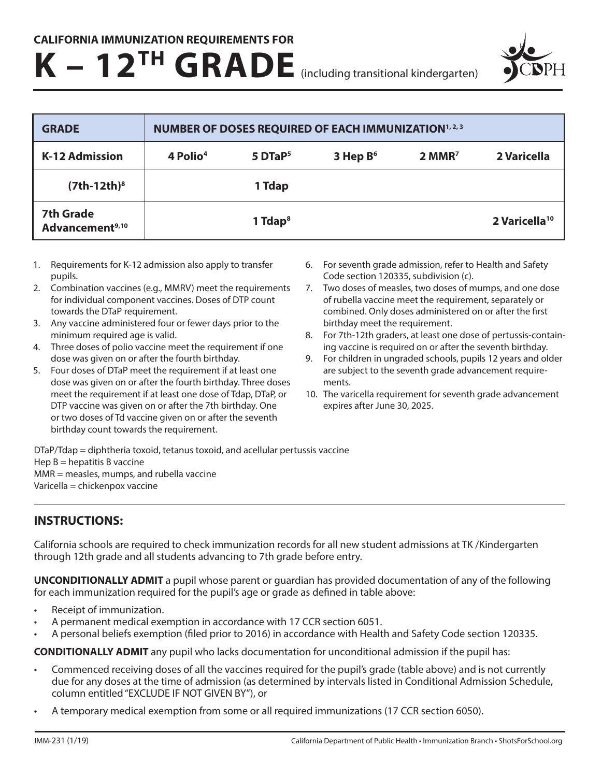## **K – 12TH GRADE** (including transitional kindergarten)



| <b>GRADE</b>                                    | NUMBER OF DOSES REQUIRED OF EACH IMMUNIZATION <sup>1, 2, 3</sup> |                       |            |                      |                           |
|-------------------------------------------------|------------------------------------------------------------------|-----------------------|------------|----------------------|---------------------------|
| <b>K-12 Admission</b>                           | 4 Polio <sup>4</sup>                                             | $5$ DTaP <sup>5</sup> | 3 Hep $B6$ | $2$ MMR <sup>7</sup> | 2 Varicella               |
| $(7th-12th)^8$                                  |                                                                  | 1 Tdap                |            |                      |                           |
| <b>7th Grade</b><br>Advancement <sup>9,10</sup> |                                                                  | 1 Tdap $8$            |            |                      | 2 Varicella <sup>10</sup> |

- 1. Requirements for K-12 admission also apply to transfer pupils.
- 2. Combination vaccines (e.g., MMRV) meet the requirements for individual component vaccines. Doses of DTP count towards the DTaP requirement.
- 3. Any vaccine administered four or fewer days prior to the minimum required age is valid.
- 4. Three doses of polio vaccine meet the requirement if one dose was given on or after the fourth birthday.
- 5. Four doses of DTaP meet the requirement if at least one dose was given on or after the fourth birthday. Three doses meet the requirement if at least one dose of Tdap, DTaP, or DTP vaccine was given on or after the 7th birthday. One or two doses of Td vaccine given on or after the seventh birthday count towards the requirement.
- 6. For seventh grade admission, refer to Health and Safety Code section 120335, subdivision (c).
- 7. Two doses of measles, two doses of mumps, and one dose of rubella vaccine meet the requirement, separately or combined. Only doses administered on or after the first birthday meet the requirement.
- 8. For 7th-12th graders, at least one dose of pertussis-containing vaccine is required on or after the seventh birthday.
- 9. For children in ungraded schools, pupils 12 years and older are subject to the seventh grade advancement requirements.
- 10. The varicella requirement for seventh grade advancement expires after June 30, 2025.

DTaP/Tdap = diphtheria toxoid, tetanus toxoid, and acellular pertussis vaccine Hep  $B =$  hepatitis B vaccine MMR = measles, mumps, and rubella vaccine Varicella = chickenpox vaccine

## **INSTRUCTIONS:**

California schools are required to check immunization records for all new student admissions at TK /Kindergarten through 12th grade and all students advancing to 7th grade before entry.

**UNCONDITIONALLY ADMIT** a pupil whose parent or guardian has provided documentation of any of the following for each immunization required for the pupil's age or grade as defined in table above:

- Receipt of immunization.
- A permanent medical exemption in accordance with 17 CCR section 6051.
- A personal beliefs exemption (filed prior to 2016) in accordance with Health and Safety Code section 120335.

**CONDITIONALLY ADMIT** any pupil who lacks documentation for unconditional admission if the pupil has:

- Commenced receiving doses of all the vaccines required for the pupil's grade (table above) and is not currently due for any doses at the time of admission (as determined by intervals listed in Conditional Admission Schedule, column entitled "EXCLUDE IF NOT GIVEN BY"), or
- A temporary medical exemption from some or all required immunizations (17 CCR section 6050).